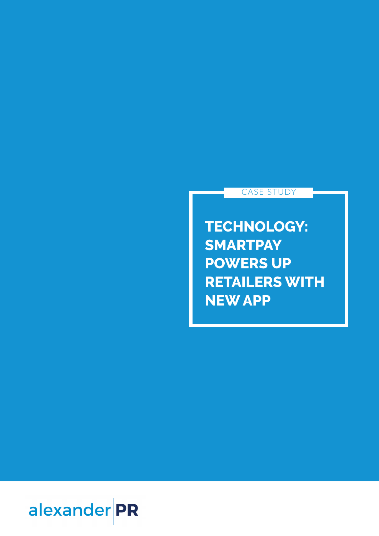## alexander PR

**TECHNOLOGY: SMARTPAY POWERS UP RETAILERS WITH NEW APP**

CASE STUDY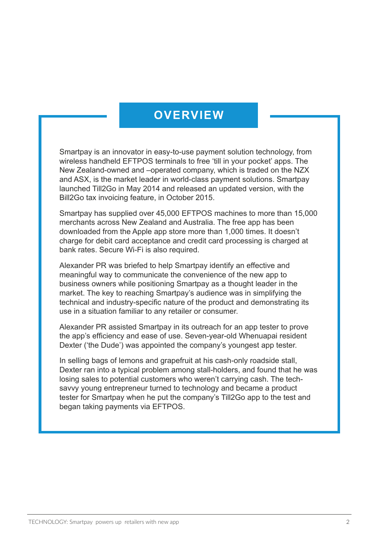## **OVERVIEW**

Smartpay is an innovator in easy-to-use payment solution technology, from wireless handheld EFTPOS terminals to free 'till in your pocket' apps. The New Zealand-owned and –operated company, which is traded on the NZX and ASX, is the market leader in world-class payment solutions. Smartpay launched Till2Go in May 2014 and released an updated version, with the Bill2Go tax invoicing feature, in October 2015.

Smartpay has supplied over 45,000 EFTPOS machines to more than 15,000 merchants across New Zealand and Australia. The free app has been downloaded from the Apple app store more than 1,000 times. It doesn't charge for debit card acceptance and credit card processing is charged at bank rates. Secure Wi-Fi is also required.

Alexander PR was briefed to help Smartpay identify an effective and meaningful way to communicate the convenience of the new app to business owners while positioning Smartpay as a thought leader in the market. The key to reaching Smartpay's audience was in simplifying the technical and industry-specific nature of the product and demonstrating its use in a situation familiar to any retailer or consumer.

Alexander PR assisted Smartpay in its outreach for an app tester to prove the app's efficiency and ease of use. Seven-year-old Whenuapai resident Dexter ('the Dude') was appointed the company's youngest app tester.

In selling bags of lemons and grapefruit at his cash-only roadside stall, Dexter ran into a typical problem among stall-holders, and found that he was losing sales to potential customers who weren't carrying cash. The techsavvy young entrepreneur turned to technology and became a product tester for Smartpay when he put the company's Till2Go app to the test and began taking payments via EFTPOS.